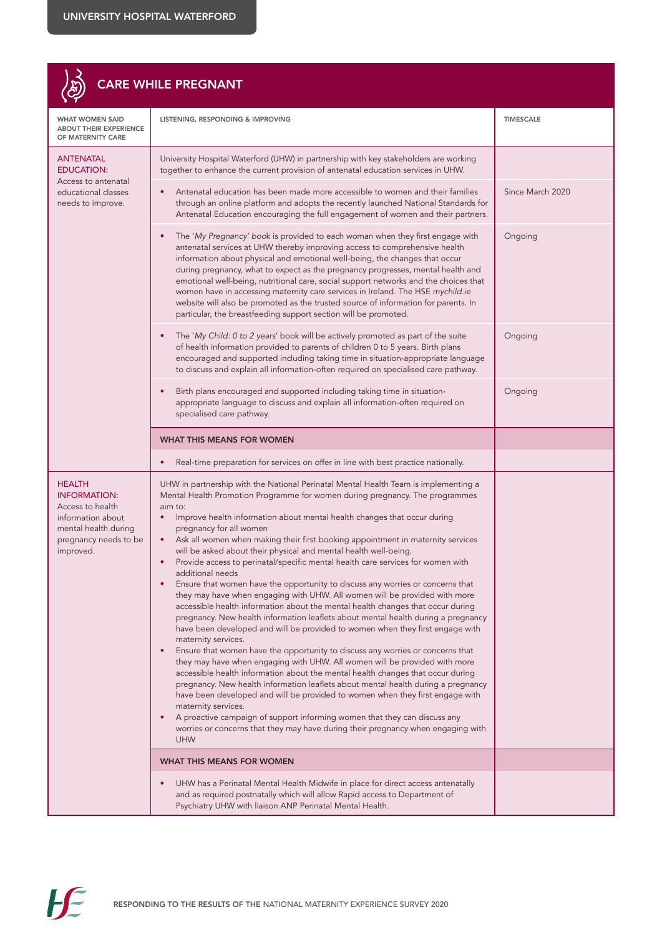## $\begin{pmatrix} 2 \\ R \end{pmatrix}$  CARE WHILE PREGNANT

| <b>WHAT WOMEN SAID</b><br><b>ABOUT THEIR EXPERIENCE</b><br>OF MATERNITY CARE                                                                | LISTENING, RESPONDING & IMPROVING                                                                                                                                                                                                                                                                                                                                                                                                                                                                                                                                                                                                                                                                                                                                                                                                                                                                                                                                                                                                                                                                                                                                                                                                                                                                                                                                                                                                                                                                                                                                                                                                                            | <b>TIMESCALE</b> |
|---------------------------------------------------------------------------------------------------------------------------------------------|--------------------------------------------------------------------------------------------------------------------------------------------------------------------------------------------------------------------------------------------------------------------------------------------------------------------------------------------------------------------------------------------------------------------------------------------------------------------------------------------------------------------------------------------------------------------------------------------------------------------------------------------------------------------------------------------------------------------------------------------------------------------------------------------------------------------------------------------------------------------------------------------------------------------------------------------------------------------------------------------------------------------------------------------------------------------------------------------------------------------------------------------------------------------------------------------------------------------------------------------------------------------------------------------------------------------------------------------------------------------------------------------------------------------------------------------------------------------------------------------------------------------------------------------------------------------------------------------------------------------------------------------------------------|------------------|
| <b>ANTENATAL</b><br><b>EDUCATION:</b><br>Access to antenatal<br>educational classes<br>needs to improve.                                    | University Hospital Waterford (UHW) in partnership with key stakeholders are working<br>together to enhance the current provision of antenatal education services in UHW.                                                                                                                                                                                                                                                                                                                                                                                                                                                                                                                                                                                                                                                                                                                                                                                                                                                                                                                                                                                                                                                                                                                                                                                                                                                                                                                                                                                                                                                                                    |                  |
|                                                                                                                                             | Antenatal education has been made more accessible to women and their families<br>through an online platform and adopts the recently launched National Standards for<br>Antenatal Education encouraging the full engagement of women and their partners.                                                                                                                                                                                                                                                                                                                                                                                                                                                                                                                                                                                                                                                                                                                                                                                                                                                                                                                                                                                                                                                                                                                                                                                                                                                                                                                                                                                                      | Since March 2020 |
|                                                                                                                                             | The 'My Pregnancy' book is provided to each woman when they first engage with<br>antenatal services at UHW thereby improving access to comprehensive health<br>information about physical and emotional well-being, the changes that occur<br>during pregnancy, what to expect as the pregnancy progresses, mental health and<br>emotional well-being, nutritional care, social support networks and the choices that<br>women have in accessing maternity care services in Ireland. The HSE mychild.ie<br>website will also be promoted as the trusted source of information for parents. In<br>particular, the breastfeeding support section will be promoted.                                                                                                                                                                                                                                                                                                                                                                                                                                                                                                                                                                                                                                                                                                                                                                                                                                                                                                                                                                                             | Ongoing          |
|                                                                                                                                             | The 'My Child: 0 to 2 years' book will be actively promoted as part of the suite<br>of health information provided to parents of children 0 to 5 years. Birth plans<br>encouraged and supported including taking time in situation-appropriate language<br>to discuss and explain all information-often required on specialised care pathway.                                                                                                                                                                                                                                                                                                                                                                                                                                                                                                                                                                                                                                                                                                                                                                                                                                                                                                                                                                                                                                                                                                                                                                                                                                                                                                                | Ongoing          |
|                                                                                                                                             | Birth plans encouraged and supported including taking time in situation-<br>appropriate language to discuss and explain all information-often required on<br>specialised care pathway.                                                                                                                                                                                                                                                                                                                                                                                                                                                                                                                                                                                                                                                                                                                                                                                                                                                                                                                                                                                                                                                                                                                                                                                                                                                                                                                                                                                                                                                                       | Ongoing          |
|                                                                                                                                             | <b>WHAT THIS MEANS FOR WOMEN</b>                                                                                                                                                                                                                                                                                                                                                                                                                                                                                                                                                                                                                                                                                                                                                                                                                                                                                                                                                                                                                                                                                                                                                                                                                                                                                                                                                                                                                                                                                                                                                                                                                             |                  |
|                                                                                                                                             | Real-time preparation for services on offer in line with best practice nationally.                                                                                                                                                                                                                                                                                                                                                                                                                                                                                                                                                                                                                                                                                                                                                                                                                                                                                                                                                                                                                                                                                                                                                                                                                                                                                                                                                                                                                                                                                                                                                                           |                  |
| <b>HEALTH</b><br><b>INFORMATION:</b><br>Access to health<br>information about<br>mental health during<br>pregnancy needs to be<br>improved. | UHW in partnership with the National Perinatal Mental Health Team is implementing a<br>Mental Health Promotion Programme for women during pregnancy. The programmes<br>aim to:<br>Improve health information about mental health changes that occur during<br>$\bullet$<br>pregnancy for all women<br>Ask all women when making their first booking appointment in maternity services<br>$\bullet$<br>will be asked about their physical and mental health well-being.<br>Provide access to perinatal/specific mental health care services for women with<br>additional needs<br>Ensure that women have the opportunity to discuss any worries or concerns that<br>they may have when engaging with UHW. All women will be provided with more<br>accessible health information about the mental health changes that occur during<br>pregnancy. New health information leaflets about mental health during a pregnancy<br>have been developed and will be provided to women when they first engage with<br>maternity services.<br>Ensure that women have the opportunity to discuss any worries or concerns that<br>they may have when engaging with UHW. All women will be provided with more<br>accessible health information about the mental health changes that occur during<br>pregnancy. New health information leaflets about mental health during a pregnancy<br>have been developed and will be provided to women when they first engage with<br>maternity services.<br>A proactive campaign of support informing women that they can discuss any<br>worries or concerns that they may have during their pregnancy when engaging with<br><b>UHW</b> |                  |
|                                                                                                                                             | <b>WHAT THIS MEANS FOR WOMEN</b>                                                                                                                                                                                                                                                                                                                                                                                                                                                                                                                                                                                                                                                                                                                                                                                                                                                                                                                                                                                                                                                                                                                                                                                                                                                                                                                                                                                                                                                                                                                                                                                                                             |                  |
|                                                                                                                                             | UHW has a Perinatal Mental Health Midwife in place for direct access antenatally<br>and as required postnatally which will allow Rapid access to Department of<br>Psychiatry UHW with liaison ANP Perinatal Mental Health.                                                                                                                                                                                                                                                                                                                                                                                                                                                                                                                                                                                                                                                                                                                                                                                                                                                                                                                                                                                                                                                                                                                                                                                                                                                                                                                                                                                                                                   |                  |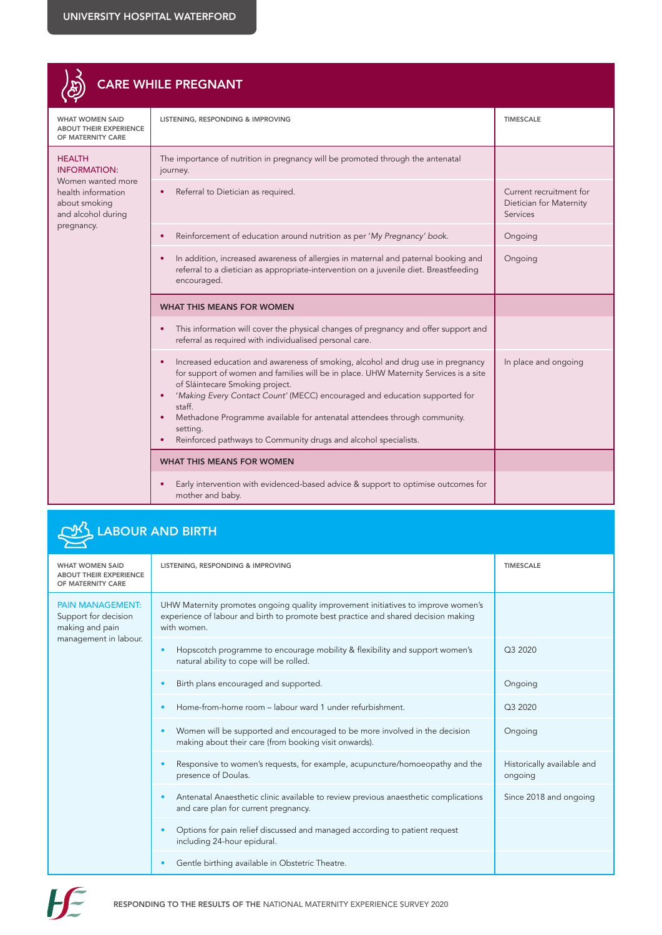| CARE WHILE PREGNANT                                                                                                                  |                                                                                                                                                                                                                                                                                                                                                                                                                                                               |                                                                |  |
|--------------------------------------------------------------------------------------------------------------------------------------|---------------------------------------------------------------------------------------------------------------------------------------------------------------------------------------------------------------------------------------------------------------------------------------------------------------------------------------------------------------------------------------------------------------------------------------------------------------|----------------------------------------------------------------|--|
| <b>WHAT WOMEN SAID</b><br><b>ABOUT THEIR EXPERIENCE</b><br>OF MATERNITY CARE                                                         | LISTENING, RESPONDING & IMPROVING                                                                                                                                                                                                                                                                                                                                                                                                                             | <b>TIMESCALE</b>                                               |  |
| <b>HEALTH</b><br><b>INFORMATION:</b><br>Women wanted more<br>health information<br>about smoking<br>and alcohol during<br>pregnancy. | The importance of nutrition in pregnancy will be promoted through the antenatal<br>journey.<br>Referral to Dietician as required.                                                                                                                                                                                                                                                                                                                             | Current recruitment for<br>Dietician for Maternity<br>Services |  |
|                                                                                                                                      | Reinforcement of education around nutrition as per 'My Pregnancy' book.<br>In addition, increased awareness of allergies in maternal and paternal booking and<br>referral to a dietician as appropriate-intervention on a juvenile diet. Breastfeeding<br>encouraged.                                                                                                                                                                                         | Ongoing<br>Ongoing                                             |  |
|                                                                                                                                      | <b>WHAT THIS MEANS FOR WOMEN</b>                                                                                                                                                                                                                                                                                                                                                                                                                              |                                                                |  |
|                                                                                                                                      | This information will cover the physical changes of pregnancy and offer support and<br>referral as required with individualised personal care.                                                                                                                                                                                                                                                                                                                |                                                                |  |
|                                                                                                                                      | Increased education and awareness of smoking, alcohol and drug use in pregnancy<br>for support of women and families will be in place. UHW Maternity Services is a site<br>of Sláintecare Smoking project.<br>'Making Every Contact Count' (MECC) encouraged and education supported for<br>staff.<br>Methadone Programme available for antenatal attendees through community.<br>setting.<br>Reinforced pathways to Community drugs and alcohol specialists. | In place and ongoing                                           |  |
|                                                                                                                                      | <b>WHAT THIS MEANS FOR WOMEN</b>                                                                                                                                                                                                                                                                                                                                                                                                                              |                                                                |  |
|                                                                                                                                      | Early intervention with evidenced-based advice & support to optimise outcomes for<br>mother and baby.                                                                                                                                                                                                                                                                                                                                                         |                                                                |  |

## LABOUR AND BIRTH

| <b>WHAT WOMEN SAID</b><br><b>ABOUT THEIR EXPERIENCE</b><br>OF MATERNITY CARE                | LISTENING, RESPONDING & IMPROVING                                                                                                                                                      | <b>TIMESCALE</b>                      |
|---------------------------------------------------------------------------------------------|----------------------------------------------------------------------------------------------------------------------------------------------------------------------------------------|---------------------------------------|
| <b>PAIN MANAGEMENT:</b><br>Support for decision<br>making and pain<br>management in labour. | UHW Maternity promotes ongoing quality improvement initiatives to improve women's<br>experience of labour and birth to promote best practice and shared decision making<br>with women. |                                       |
|                                                                                             | Hopscotch programme to encourage mobility & flexibility and support women's<br>×<br>natural ability to cope will be rolled.                                                            | Q3 2020                               |
|                                                                                             | Birth plans encouraged and supported.<br>$\bullet$                                                                                                                                     | Ongoing                               |
|                                                                                             | Home-from-home room – labour ward 1 under refurbishment.<br>٠                                                                                                                          | Q3 2020                               |
|                                                                                             | Women will be supported and encouraged to be more involved in the decision<br>¢<br>making about their care (from booking visit onwards).                                               | Ongoing                               |
|                                                                                             | Responsive to women's requests, for example, acupuncture/homoeopathy and the<br>×<br>presence of Doulas.                                                                               | Historically available and<br>ongoing |
|                                                                                             | Antenatal Anaesthetic clinic available to review previous anaesthetic complications<br>٠<br>and care plan for current pregnancy.                                                       | Since 2018 and ongoing                |
|                                                                                             | Options for pain relief discussed and managed according to patient request<br>٠<br>including 24-hour epidural.                                                                         |                                       |
|                                                                                             | Gentle birthing available in Obstetric Theatre.                                                                                                                                        |                                       |

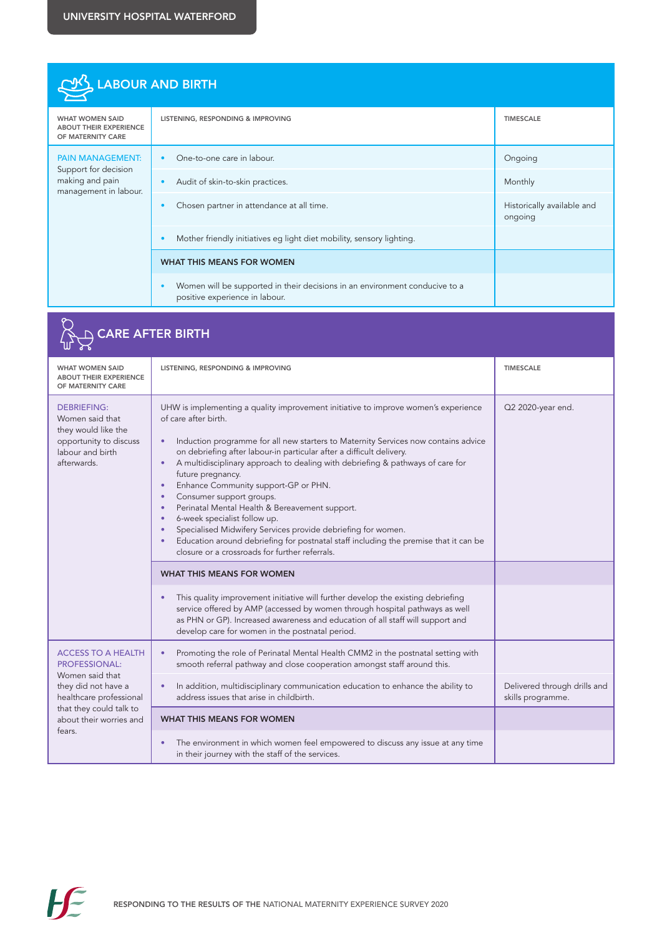| LABOUR AND BIRTH                                                                            |                                                                                                               |                                       |
|---------------------------------------------------------------------------------------------|---------------------------------------------------------------------------------------------------------------|---------------------------------------|
| <b>WHAT WOMEN SAID</b><br><b>ABOUT THEIR EXPERIENCE</b><br>OF MATERNITY CARE                | LISTENING, RESPONDING & IMPROVING                                                                             | <b>TIMESCALE</b>                      |
| <b>PAIN MANAGEMENT:</b><br>Support for decision<br>making and pain<br>management in labour. | One-to-one care in labour.                                                                                    | Ongoing                               |
|                                                                                             | Audit of skin-to-skin practices.                                                                              | Monthly                               |
|                                                                                             | Chosen partner in attendance at all time.                                                                     | Historically available and<br>ongoing |
|                                                                                             | Mother friendly initiatives eq light diet mobility, sensory lighting.                                         |                                       |
|                                                                                             | <b>WHAT THIS MEANS FOR WOMEN</b>                                                                              |                                       |
|                                                                                             | Women will be supported in their decisions in an environment conducive to a<br>positive experience in labour. |                                       |

|                                                                                                                                                                                        | CARE AFTER BIRTH                                                                                                                                                                                                                                                                                                                                                                                                                                                                                                                                                                                                                                                                                                                                |                                                   |
|----------------------------------------------------------------------------------------------------------------------------------------------------------------------------------------|-------------------------------------------------------------------------------------------------------------------------------------------------------------------------------------------------------------------------------------------------------------------------------------------------------------------------------------------------------------------------------------------------------------------------------------------------------------------------------------------------------------------------------------------------------------------------------------------------------------------------------------------------------------------------------------------------------------------------------------------------|---------------------------------------------------|
| <b>WHAT WOMEN SAID</b><br><b>ABOUT THEIR EXPERIENCE</b><br>OF MATERNITY CARE                                                                                                           | LISTENING, RESPONDING & IMPROVING                                                                                                                                                                                                                                                                                                                                                                                                                                                                                                                                                                                                                                                                                                               | <b>TIMESCALE</b>                                  |
| <b>DEBRIEFING:</b><br>Women said that<br>they would like the<br>opportunity to discuss<br>labour and birth<br>afterwards.                                                              | UHW is implementing a quality improvement initiative to improve women's experience<br>of care after birth.<br>Induction programme for all new starters to Maternity Services now contains advice<br>on debriefing after labour-in particular after a difficult delivery.<br>A multidisciplinary approach to dealing with debriefing & pathways of care for<br>future pregnancy.<br>Enhance Community support-GP or PHN.<br>Consumer support groups.<br>Perinatal Mental Health & Bereavement support.<br>6-week specialist follow up.<br>Specialised Midwifery Services provide debriefing for women.<br>Education around debriefing for postnatal staff including the premise that it can be<br>closure or a crossroads for further referrals. | Q2 2020-year end.                                 |
|                                                                                                                                                                                        | <b>WHAT THIS MEANS FOR WOMEN</b>                                                                                                                                                                                                                                                                                                                                                                                                                                                                                                                                                                                                                                                                                                                |                                                   |
|                                                                                                                                                                                        | This quality improvement initiative will further develop the existing debriefing<br>service offered by AMP (accessed by women through hospital pathways as well<br>as PHN or GP). Increased awareness and education of all staff will support and<br>develop care for women in the postnatal period.                                                                                                                                                                                                                                                                                                                                                                                                                                            |                                                   |
| <b>ACCESS TO A HEALTH</b><br><b>PROFESSIONAL:</b><br>Women said that<br>they did not have a<br>healthcare professional<br>that they could talk to<br>about their worries and<br>fears. | Promoting the role of Perinatal Mental Health CMM2 in the postnatal setting with<br>٠<br>smooth referral pathway and close cooperation amongst staff around this.                                                                                                                                                                                                                                                                                                                                                                                                                                                                                                                                                                               |                                                   |
|                                                                                                                                                                                        | In addition, multidisciplinary communication education to enhance the ability to<br>address issues that arise in childbirth.                                                                                                                                                                                                                                                                                                                                                                                                                                                                                                                                                                                                                    | Delivered through drills and<br>skills programme. |
|                                                                                                                                                                                        | <b>WHAT THIS MEANS FOR WOMEN</b>                                                                                                                                                                                                                                                                                                                                                                                                                                                                                                                                                                                                                                                                                                                |                                                   |
|                                                                                                                                                                                        | The environment in which women feel empowered to discuss any issue at any time<br>in their journey with the staff of the services.                                                                                                                                                                                                                                                                                                                                                                                                                                                                                                                                                                                                              |                                                   |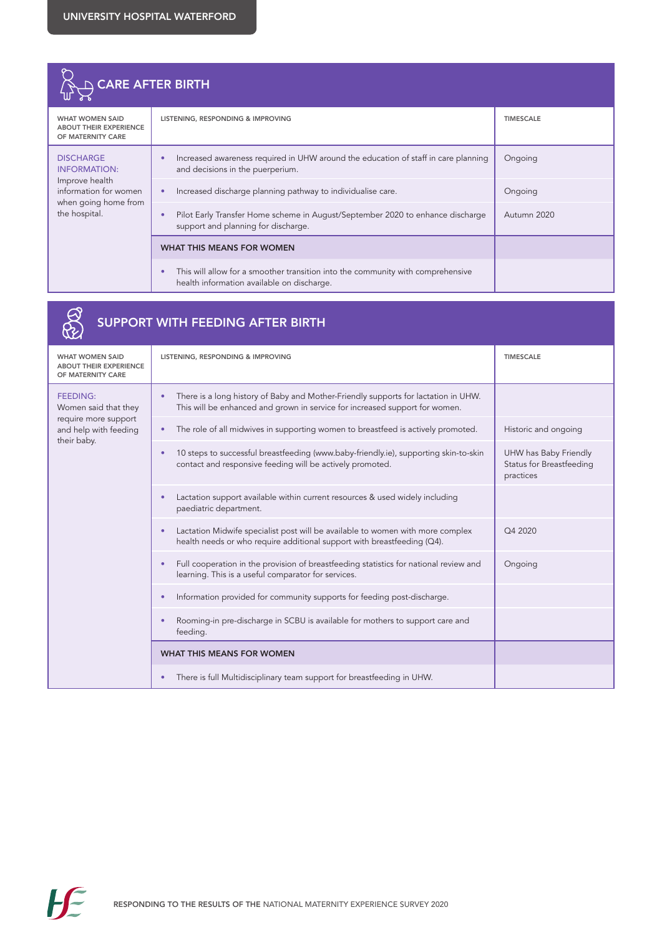

|                                                                                                         | <b>SUPPORT WITH FEEDING AFTER BIRTH</b>                                                                                                                           |                                                                       |
|---------------------------------------------------------------------------------------------------------|-------------------------------------------------------------------------------------------------------------------------------------------------------------------|-----------------------------------------------------------------------|
| <b>WHAT WOMEN SAID</b><br><b>ABOUT THEIR EXPERIENCE</b><br>OF MATERNITY CARE                            | LISTENING, RESPONDING & IMPROVING                                                                                                                                 | <b>TIMESCALE</b>                                                      |
| <b>FEEDING:</b><br>Women said that they<br>require more support<br>and help with feeding<br>their baby. | There is a long history of Baby and Mother-Friendly supports for lactation in UHW.<br>This will be enhanced and grown in service for increased support for women. |                                                                       |
|                                                                                                         | The role of all midwives in supporting women to breastfeed is actively promoted.                                                                                  | Historic and ongoing                                                  |
|                                                                                                         | 10 steps to successful breastfeeding (www.baby-friendly.ie), supporting skin-to-skin<br>٠<br>contact and responsive feeding will be actively promoted.            | UHW has Baby Friendly<br><b>Status for Breastfeeding</b><br>practices |
|                                                                                                         | Lactation support available within current resources & used widely including<br>paediatric department.                                                            |                                                                       |
|                                                                                                         | Lactation Midwife specialist post will be available to women with more complex<br>health needs or who require additional support with breastfeeding (Q4).         | Q4 2020                                                               |
|                                                                                                         | Full cooperation in the provision of breastfeeding statistics for national review and<br>learning. This is a useful comparator for services.                      | Ongoing                                                               |
|                                                                                                         | Information provided for community supports for feeding post-discharge.                                                                                           |                                                                       |
|                                                                                                         | Rooming-in pre-discharge in SCBU is available for mothers to support care and<br>feeding.                                                                         |                                                                       |
|                                                                                                         | <b>WHAT THIS MEANS FOR WOMEN</b>                                                                                                                                  |                                                                       |
|                                                                                                         | There is full Multidisciplinary team support for breastfeeding in UHW.                                                                                            |                                                                       |